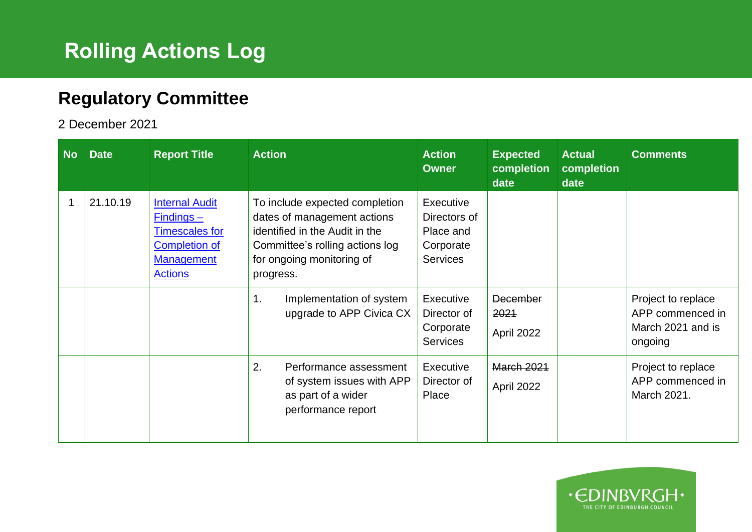## **Rolling Actions Log**

## **Regulatory Committee**

2 December 2021

| <b>No</b> | <b>Date</b> | <b>Report Title</b>                                                                                                        | <b>Action</b>                                                                                                                                                                | <b>Action</b><br><b>Owner</b>                                          | <b>Expected</b><br>completion<br>date | <b>Actual</b><br>completion<br>date | <b>Comments</b>                                                        |
|-----------|-------------|----------------------------------------------------------------------------------------------------------------------------|------------------------------------------------------------------------------------------------------------------------------------------------------------------------------|------------------------------------------------------------------------|---------------------------------------|-------------------------------------|------------------------------------------------------------------------|
|           | 21.10.19    | <b>Internal Audit</b><br>$Finding$<br><b>Timescales for</b><br><b>Completion of</b><br><b>Management</b><br><b>Actions</b> | To include expected completion<br>dates of management actions<br>identified in the Audit in the<br>Committee's rolling actions log<br>for ongoing monitoring of<br>progress. | Executive<br>Directors of<br>Place and<br>Corporate<br><b>Services</b> |                                       |                                     |                                                                        |
|           |             |                                                                                                                            | 1 <sub>1</sub><br>Implementation of system<br>upgrade to APP Civica CX                                                                                                       | Executive<br>Director of<br>Corporate<br><b>Services</b>               | <b>December</b><br>2021<br>April 2022 |                                     | Project to replace<br>APP commenced in<br>March 2021 and is<br>ongoing |
|           |             |                                                                                                                            | 2.<br>Performance assessment<br>of system issues with APP<br>as part of a wider<br>performance report                                                                        | Executive<br>Director of<br>Place                                      | <b>March 2021</b><br>April 2022       |                                     | Project to replace<br>APP commenced in<br>March 2021.                  |

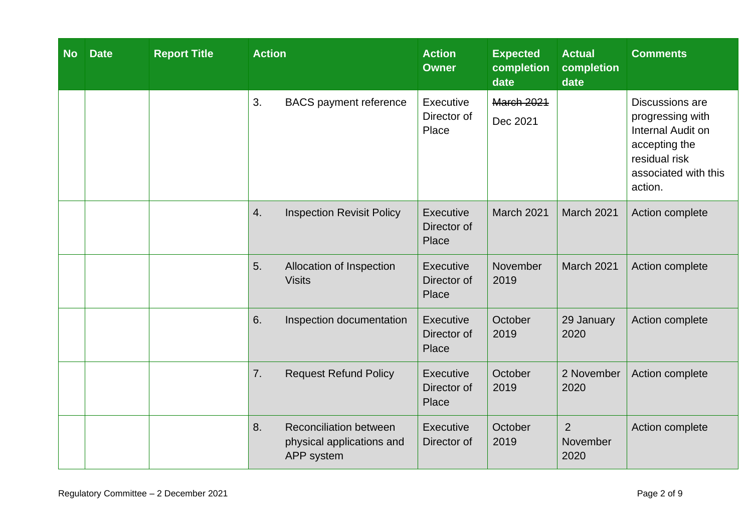| <b>No</b> | <b>Date</b> | <b>Report Title</b> | <b>Action</b> |                                                                          | <b>Action</b><br><b>Owner</b>            | <b>Expected</b><br>completion<br>date | <b>Actual</b><br>completion<br>date | <b>Comments</b>                                                                                                               |
|-----------|-------------|---------------------|---------------|--------------------------------------------------------------------------|------------------------------------------|---------------------------------------|-------------------------------------|-------------------------------------------------------------------------------------------------------------------------------|
|           |             |                     | 3.            | <b>BACS</b> payment reference                                            | Executive<br>Director of<br>Place        | <b>March 2021</b><br>Dec 2021         |                                     | Discussions are<br>progressing with<br>Internal Audit on<br>accepting the<br>residual risk<br>associated with this<br>action. |
|           |             |                     | 4.            | <b>Inspection Revisit Policy</b>                                         | <b>Executive</b><br>Director of<br>Place | March 2021                            | March 2021                          | Action complete                                                                                                               |
|           |             |                     | 5.            | Allocation of Inspection<br><b>Visits</b>                                | Executive<br>Director of<br>Place        | November<br>2019                      | March 2021                          | Action complete                                                                                                               |
|           |             |                     | 6.            | Inspection documentation                                                 | Executive<br>Director of<br>Place        | October<br>2019                       | 29 January<br>2020                  | Action complete                                                                                                               |
|           |             |                     | 7.            | <b>Request Refund Policy</b>                                             | Executive<br>Director of<br>Place        | October<br>2019                       | 2 November<br>2020                  | Action complete                                                                                                               |
|           |             |                     | 8.            | <b>Reconciliation between</b><br>physical applications and<br>APP system | Executive<br>Director of                 | October<br>2019                       | 2<br>November<br>2020               | Action complete                                                                                                               |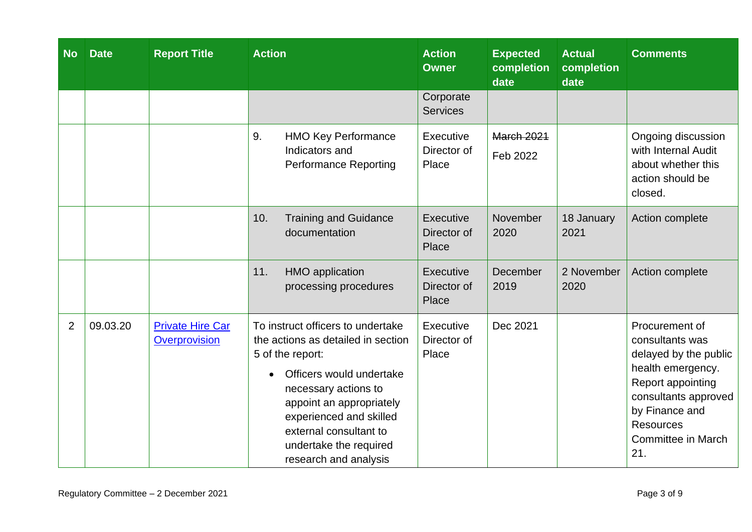| <b>No</b>      | <b>Date</b> | <b>Report Title</b>                      | <b>Action</b>                                                                                                                                                                                                                                                                                    | <b>Action</b><br><b>Owner</b>            | <b>Expected</b><br>completion<br>date | <b>Actual</b><br>completion<br>date | <b>Comments</b>                                                                                                                                                                                 |
|----------------|-------------|------------------------------------------|--------------------------------------------------------------------------------------------------------------------------------------------------------------------------------------------------------------------------------------------------------------------------------------------------|------------------------------------------|---------------------------------------|-------------------------------------|-------------------------------------------------------------------------------------------------------------------------------------------------------------------------------------------------|
|                |             |                                          |                                                                                                                                                                                                                                                                                                  | Corporate<br><b>Services</b>             |                                       |                                     |                                                                                                                                                                                                 |
|                |             |                                          | 9.<br><b>HMO Key Performance</b><br>Indicators and<br><b>Performance Reporting</b>                                                                                                                                                                                                               | Executive<br>Director of<br>Place        | <b>March 2021</b><br>Feb 2022         |                                     | Ongoing discussion<br>with Internal Audit<br>about whether this<br>action should be<br>closed.                                                                                                  |
|                |             |                                          | 10.<br><b>Training and Guidance</b><br>documentation                                                                                                                                                                                                                                             | <b>Executive</b><br>Director of<br>Place | <b>November</b><br>2020               | 18 January<br>2021                  | Action complete                                                                                                                                                                                 |
|                |             |                                          | 11.<br><b>HMO</b> application<br>processing procedures                                                                                                                                                                                                                                           | Executive<br>Director of<br>Place        | <b>December</b><br>2019               | 2 November<br>2020                  | Action complete                                                                                                                                                                                 |
| $\overline{2}$ | 09.03.20    | <b>Private Hire Car</b><br>Overprovision | To instruct officers to undertake<br>the actions as detailed in section<br>5 of the report:<br>Officers would undertake<br>$\bullet$<br>necessary actions to<br>appoint an appropriately<br>experienced and skilled<br>external consultant to<br>undertake the required<br>research and analysis | Executive<br>Director of<br>Place        | Dec 2021                              |                                     | Procurement of<br>consultants was<br>delayed by the public<br>health emergency.<br>Report appointing<br>consultants approved<br>by Finance and<br>Resources<br><b>Committee in March</b><br>21. |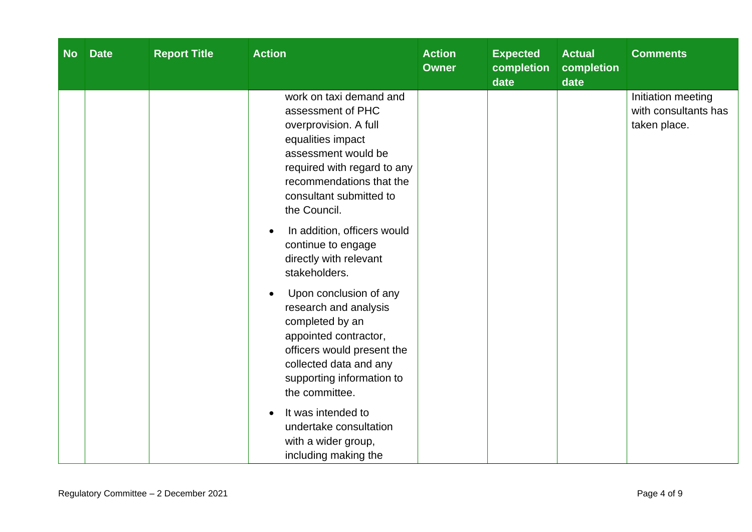| <b>No</b> | <b>Date</b> | <b>Report Title</b> | <b>Action</b>                                                                                                                                                                                                                                                                                                                                                                                                                                                                                                                                                                                                                                                       | <b>Action</b><br><b>Owner</b> | <b>Expected</b><br>completion<br>date | <b>Actual</b><br>completion<br>date | <b>Comments</b>                                            |
|-----------|-------------|---------------------|---------------------------------------------------------------------------------------------------------------------------------------------------------------------------------------------------------------------------------------------------------------------------------------------------------------------------------------------------------------------------------------------------------------------------------------------------------------------------------------------------------------------------------------------------------------------------------------------------------------------------------------------------------------------|-------------------------------|---------------------------------------|-------------------------------------|------------------------------------------------------------|
|           |             |                     | work on taxi demand and<br>assessment of PHC<br>overprovision. A full<br>equalities impact<br>assessment would be<br>required with regard to any<br>recommendations that the<br>consultant submitted to<br>the Council.<br>In addition, officers would<br>$\bullet$<br>continue to engage<br>directly with relevant<br>stakeholders.<br>Upon conclusion of any<br>$\bullet$<br>research and analysis<br>completed by an<br>appointed contractor,<br>officers would present the<br>collected data and any<br>supporting information to<br>the committee.<br>It was intended to<br>$\bullet$<br>undertake consultation<br>with a wider group,<br>including making the |                               |                                       |                                     | Initiation meeting<br>with consultants has<br>taken place. |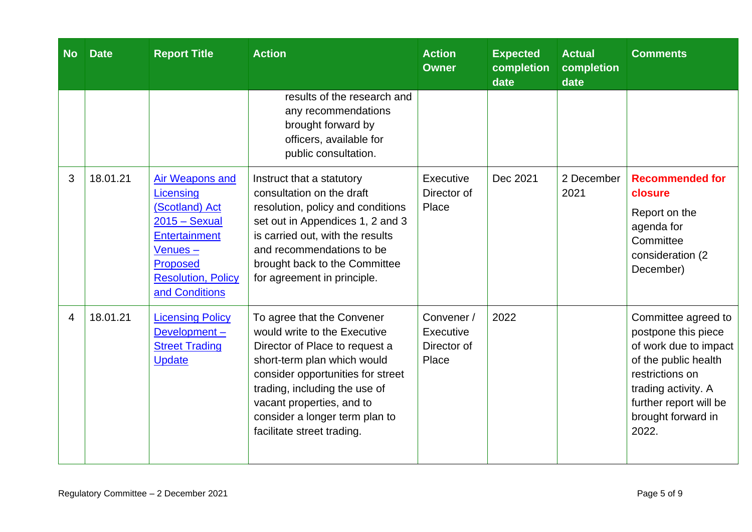| <b>No</b>      | <b>Date</b> | <b>Report Title</b>                                                                                                                                                    | <b>Action</b>                                                                                                                                                                                                                                                                                  | <b>Action</b><br><b>Owner</b>                   | <b>Expected</b><br>completion<br>date | <b>Actual</b><br>completion<br>date | <b>Comments</b>                                                                                                                                                                                |
|----------------|-------------|------------------------------------------------------------------------------------------------------------------------------------------------------------------------|------------------------------------------------------------------------------------------------------------------------------------------------------------------------------------------------------------------------------------------------------------------------------------------------|-------------------------------------------------|---------------------------------------|-------------------------------------|------------------------------------------------------------------------------------------------------------------------------------------------------------------------------------------------|
|                |             |                                                                                                                                                                        | results of the research and<br>any recommendations<br>brought forward by<br>officers, available for<br>public consultation.                                                                                                                                                                    |                                                 |                                       |                                     |                                                                                                                                                                                                |
| 3              | 18.01.21    | <b>Air Weapons and</b><br>Licensing<br>(Scotland) Act<br>$2015 -$ Sexual<br>Entertainment<br>Venues-<br><b>Proposed</b><br><b>Resolution, Policy</b><br>and Conditions | Instruct that a statutory<br>consultation on the draft<br>resolution, policy and conditions<br>set out in Appendices 1, 2 and 3<br>is carried out, with the results<br>and recommendations to be<br>brought back to the Committee<br>for agreement in principle.                               | Executive<br>Director of<br>Place               | Dec 2021                              | 2 December<br>2021                  | <b>Recommended for</b><br>closure<br>Report on the<br>agenda for<br>Committee<br>consideration (2)<br>December)                                                                                |
| $\overline{4}$ | 18.01.21    | <b>Licensing Policy</b><br>Development-<br><b>Street Trading</b><br><b>Update</b>                                                                                      | To agree that the Convener<br>would write to the Executive<br>Director of Place to request a<br>short-term plan which would<br>consider opportunities for street<br>trading, including the use of<br>vacant properties, and to<br>consider a longer term plan to<br>facilitate street trading. | Convener /<br>Executive<br>Director of<br>Place | 2022                                  |                                     | Committee agreed to<br>postpone this piece<br>of work due to impact<br>of the public health<br>restrictions on<br>trading activity. A<br>further report will be<br>brought forward in<br>2022. |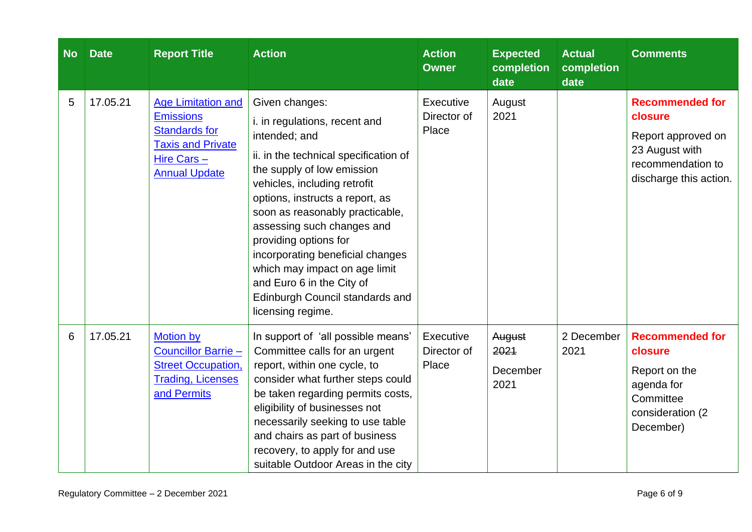| <b>No</b> | <b>Date</b> | <b>Report Title</b>                                                                                                                      | <b>Action</b>                                                                                                                                                                                                                                                                                                                                                                                                                                                  | <b>Action</b><br><b>Owner</b>     | <b>Expected</b><br>completion<br>date | <b>Actual</b><br>completion<br>date | <b>Comments</b>                                                                                                          |
|-----------|-------------|------------------------------------------------------------------------------------------------------------------------------------------|----------------------------------------------------------------------------------------------------------------------------------------------------------------------------------------------------------------------------------------------------------------------------------------------------------------------------------------------------------------------------------------------------------------------------------------------------------------|-----------------------------------|---------------------------------------|-------------------------------------|--------------------------------------------------------------------------------------------------------------------------|
| 5         | 17.05.21    | <b>Age Limitation and</b><br><b>Emissions</b><br><b>Standards for</b><br><b>Taxis and Private</b><br>Hire Cars -<br><b>Annual Update</b> | Given changes:<br>i. in regulations, recent and<br>intended; and<br>ii. in the technical specification of<br>the supply of low emission<br>vehicles, including retrofit<br>options, instructs a report, as<br>soon as reasonably practicable,<br>assessing such changes and<br>providing options for<br>incorporating beneficial changes<br>which may impact on age limit<br>and Euro 6 in the City of<br>Edinburgh Council standards and<br>licensing regime. | Executive<br>Director of<br>Place | August<br>2021                        |                                     | <b>Recommended for</b><br>closure<br>Report approved on<br>23 August with<br>recommendation to<br>discharge this action. |
| 6         | 17.05.21    | <b>Motion by</b><br>Councillor Barrie -<br><b>Street Occupation,</b><br><b>Trading, Licenses</b><br>and Permits                          | In support of 'all possible means'<br>Committee calls for an urgent<br>report, within one cycle, to<br>consider what further steps could<br>be taken regarding permits costs,<br>eligibility of businesses not<br>necessarily seeking to use table<br>and chairs as part of business<br>recovery, to apply for and use<br>suitable Outdoor Areas in the city                                                                                                   | Executive<br>Director of<br>Place | August<br>2021<br>December<br>2021    | 2 December<br>2021                  | <b>Recommended for</b><br>closure<br>Report on the<br>agenda for<br>Committee<br>consideration (2)<br>December)          |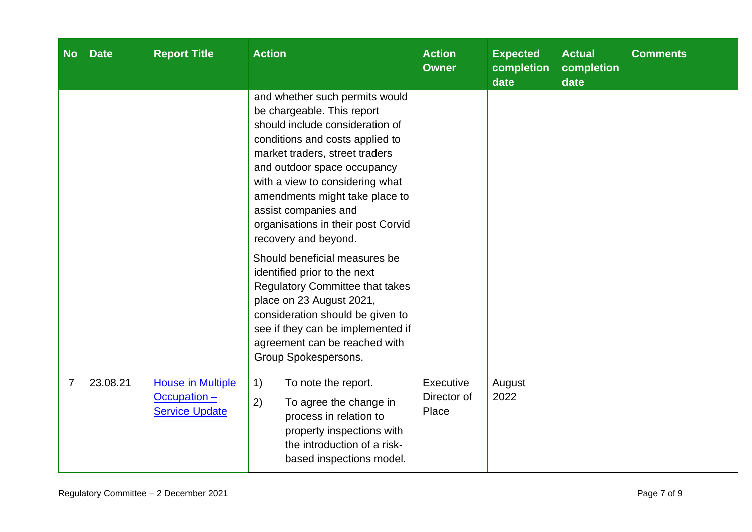| <b>No</b>      | <b>Date</b> | <b>Report Title</b>                                                 | <b>Action</b>                                                                                                                                                                                                                                                                                                                                                                                                                                                                                                                                                                                                                           | <b>Action</b><br><b>Owner</b>     | <b>Expected</b><br>completion<br>date | <b>Actual</b><br>completion<br>date | <b>Comments</b> |
|----------------|-------------|---------------------------------------------------------------------|-----------------------------------------------------------------------------------------------------------------------------------------------------------------------------------------------------------------------------------------------------------------------------------------------------------------------------------------------------------------------------------------------------------------------------------------------------------------------------------------------------------------------------------------------------------------------------------------------------------------------------------------|-----------------------------------|---------------------------------------|-------------------------------------|-----------------|
|                |             |                                                                     | and whether such permits would<br>be chargeable. This report<br>should include consideration of<br>conditions and costs applied to<br>market traders, street traders<br>and outdoor space occupancy<br>with a view to considering what<br>amendments might take place to<br>assist companies and<br>organisations in their post Corvid<br>recovery and beyond.<br>Should beneficial measures be<br>identified prior to the next<br><b>Regulatory Committee that takes</b><br>place on 23 August 2021,<br>consideration should be given to<br>see if they can be implemented if<br>agreement can be reached with<br>Group Spokespersons. |                                   |                                       |                                     |                 |
| $\overline{7}$ | 23.08.21    | <b>House in Multiple</b><br>$Occulation -$<br><b>Service Update</b> | 1)<br>To note the report.<br>2)<br>To agree the change in<br>process in relation to<br>property inspections with<br>the introduction of a risk-<br>based inspections model.                                                                                                                                                                                                                                                                                                                                                                                                                                                             | Executive<br>Director of<br>Place | August<br>2022                        |                                     |                 |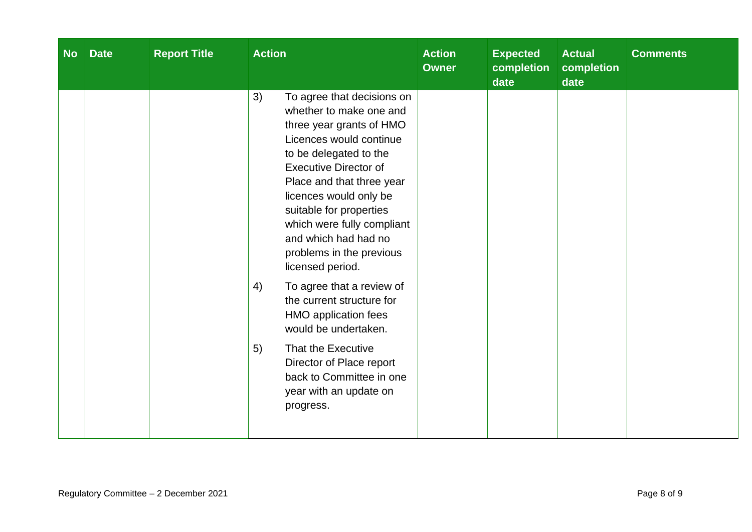| <b>No</b> | <b>Date</b> | <b>Report Title</b> | <b>Action</b>                                                                                                                                                                                                                                                                                                                                                        | <b>Action</b><br><b>Owner</b> | <b>Expected</b><br>completion<br>date | <b>Actual</b><br>completion<br>date | <b>Comments</b> |
|-----------|-------------|---------------------|----------------------------------------------------------------------------------------------------------------------------------------------------------------------------------------------------------------------------------------------------------------------------------------------------------------------------------------------------------------------|-------------------------------|---------------------------------------|-------------------------------------|-----------------|
|           |             |                     | 3)<br>To agree that decisions on<br>whether to make one and<br>three year grants of HMO<br>Licences would continue<br>to be delegated to the<br><b>Executive Director of</b><br>Place and that three year<br>licences would only be<br>suitable for properties<br>which were fully compliant<br>and which had had no<br>problems in the previous<br>licensed period. |                               |                                       |                                     |                 |
|           |             |                     | To agree that a review of<br>4)<br>the current structure for<br>HMO application fees<br>would be undertaken.                                                                                                                                                                                                                                                         |                               |                                       |                                     |                 |
|           |             |                     | That the Executive<br>5)<br>Director of Place report<br>back to Committee in one<br>year with an update on<br>progress.                                                                                                                                                                                                                                              |                               |                                       |                                     |                 |